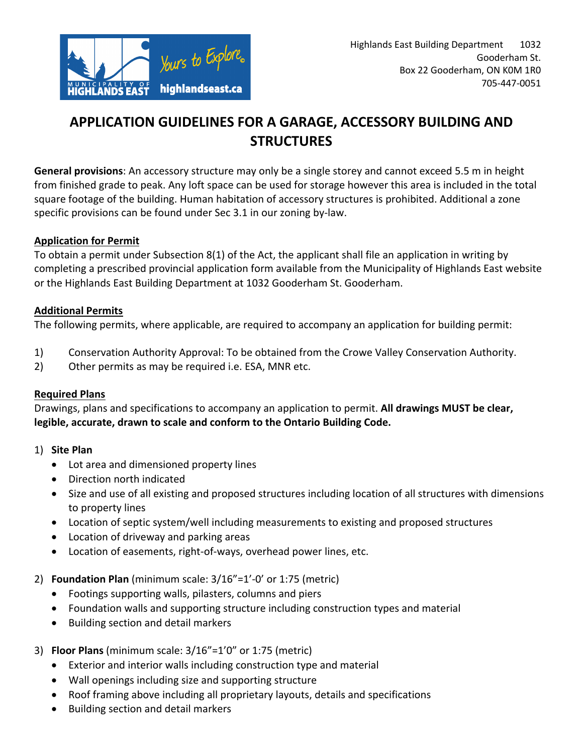

# **APPLICATION GUIDELINES FOR A GARAGE, ACCESSORY BUILDING AND STRUCTURES**

**General provisions**: An accessory structure may only be a single storey and cannot exceed 5.5 m in height from finished grade to peak. Any loft space can be used for storage however this area is included in the total square footage of the building. Human habitation of accessory structures is prohibited. Additional a zone specific provisions can be found under Sec 3.1 in our zoning by-law.

### **Application for Permit**

To obtain a permit under Subsection 8(1) of the Act, the applicant shall file an application in writing by completing a prescribed provincial application form available from the Municipality of Highlands East website or the Highlands East Building Department at 1032 Gooderham St. Gooderham.

#### **Additional Permits**

The following permits, where applicable, are required to accompany an application for building permit:

- 1) Conservation Authority Approval: To be obtained from the Crowe Valley Conservation Authority.
- 2) Other permits as may be required i.e. ESA, MNR etc.

### **Required Plans**

Drawings, plans and specifications to accompany an application to permit. **All drawings MUST be clear, legible, accurate, drawn to scale and conform to the Ontario Building Code.** 

### 1) **Site Plan**

- Lot area and dimensioned property lines
- Direction north indicated
- Size and use of all existing and proposed structures including location of all structures with dimensions to property lines
- Location of septic system/well including measurements to existing and proposed structures
- Location of driveway and parking areas
- Location of easements, right-of-ways, overhead power lines, etc.

### 2) **Foundation Plan** (minimum scale: 3/16"=1'-0' or 1:75 (metric)

- Footings supporting walls, pilasters, columns and piers
- Foundation walls and supporting structure including construction types and material
- Building section and detail markers

### 3) **Floor Plans** (minimum scale: 3/16"=1'0" or 1:75 (metric)

- Exterior and interior walls including construction type and material
- Wall openings including size and supporting structure
- Roof framing above including all proprietary layouts, details and specifications
- Building section and detail markers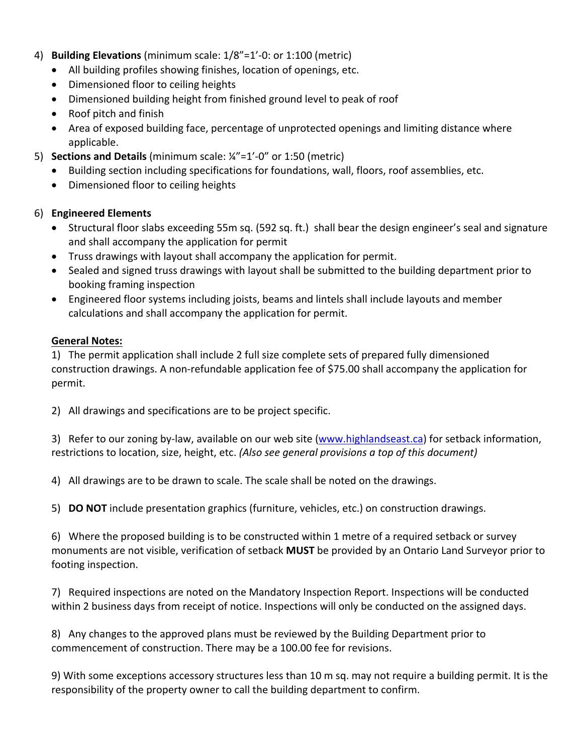- 4) **Building Elevations** (minimum scale: 1/8"=1'-0: or 1:100 (metric)
	- All building profiles showing finishes, location of openings, etc.
	- Dimensioned floor to ceiling heights
	- Dimensioned building height from finished ground level to peak of roof
	- Roof pitch and finish
	- Area of exposed building face, percentage of unprotected openings and limiting distance where applicable.
- 5) **Sections and Details** (minimum scale: ¼"=1'-0" or 1:50 (metric)
	- Building section including specifications for foundations, wall, floors, roof assemblies, etc.
	- Dimensioned floor to ceiling heights

#### 6) **Engineered Elements**

- Structural floor slabs exceeding 55m sq. (592 sq. ft.) shall bear the design engineer's seal and signature and shall accompany the application for permit
- Truss drawings with layout shall accompany the application for permit.
- Sealed and signed truss drawings with layout shall be submitted to the building department prior to booking framing inspection
- Engineered floor systems including joists, beams and lintels shall include layouts and member calculations and shall accompany the application for permit.

#### **General Notes:**

1) The permit application shall include 2 full size complete sets of prepared fully dimensioned construction drawings. A non-refundable application fee of \$75.00 shall accompany the application for permit.

2) All drawings and specifications are to be project specific.

3) Refer to our zoning by-law, available on our web site (www.highlandseast.ca) for setback information, restrictions to location, size, height, etc. *(Also see general provisions a top of this document)*

4) All drawings are to be drawn to scale. The scale shall be noted on the drawings.

5) **DO NOT** include presentation graphics (furniture, vehicles, etc.) on construction drawings.

6) Where the proposed building is to be constructed within 1 metre of a required setback or survey monuments are not visible, verification of setback **MUST** be provided by an Ontario Land Surveyor prior to footing inspection.

7) Required inspections are noted on the Mandatory Inspection Report. Inspections will be conducted within 2 business days from receipt of notice. Inspections will only be conducted on the assigned days.

8) Any changes to the approved plans must be reviewed by the Building Department prior to commencement of construction. There may be a 100.00 fee for revisions.

9) With some exceptions accessory structures less than 10 m sq. may not require a building permit. It is the responsibility of the property owner to call the building department to confirm.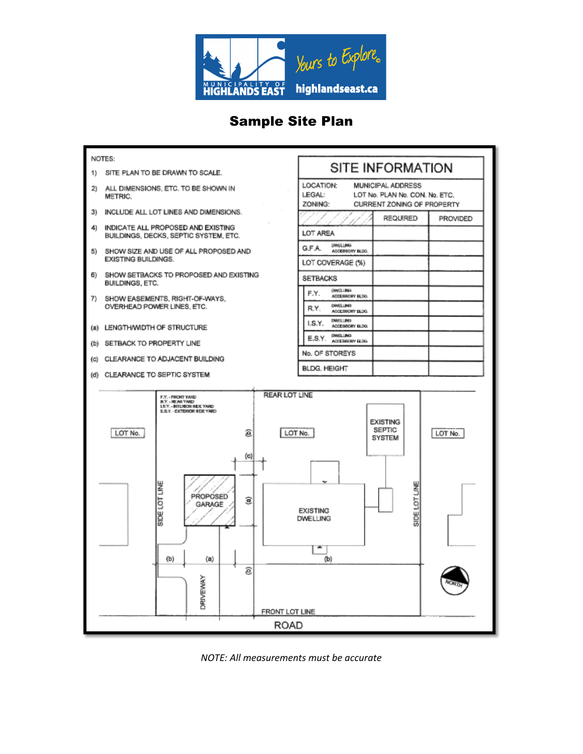

## Sample Site Plan



*NOTE: All measurements must be accurate*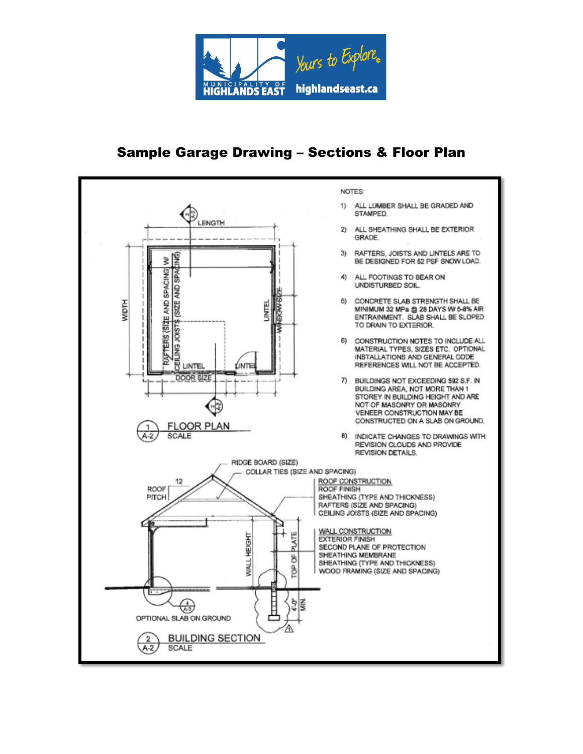

# Sample Garage Drawing – Sections & Floor Plan